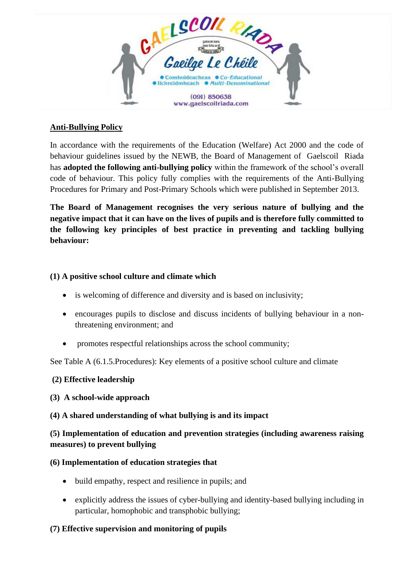

## **Anti-Bullying Policy**

In accordance with the requirements of the Education (Welfare) Act 2000 and the code of behaviour guidelines issued by the NEWB, the Board of Management of Gaelscoil Riada has **adopted the following anti-bullying policy** within the framework of the school's overall code of behaviour. This policy fully complies with the requirements of the Anti-Bullying Procedures for Primary and Post-Primary Schools which were published in September 2013.

**The Board of Management recognises the very serious nature of bullying and the negative impact that it can have on the lives of pupils and is therefore fully committed to the following key principles of best practice in preventing and tackling bullying behaviour:**

### **(1) A positive school culture and climate which**

- is welcoming of difference and diversity and is based on inclusivity;
- encourages pupils to disclose and discuss incidents of bullying behaviour in a nonthreatening environment; and
- promotes respectful relationships across the school community;

See Table A (6.1.5.Procedures): Key elements of a positive school culture and climate

### **(2) Effective leadership**

### **(3) A school-wide approach**

### **(4) A shared understanding of what bullying is and its impact**

# **(5) Implementation of education and prevention strategies (including awareness raising measures) to prevent bullying**

### **(6) Implementation of education strategies that**

- build empathy, respect and resilience in pupils; and
- explicitly address the issues of cyber-bullying and identity-based bullying including in particular, homophobic and transphobic bullying;

### **(7) Effective supervision and monitoring of pupils**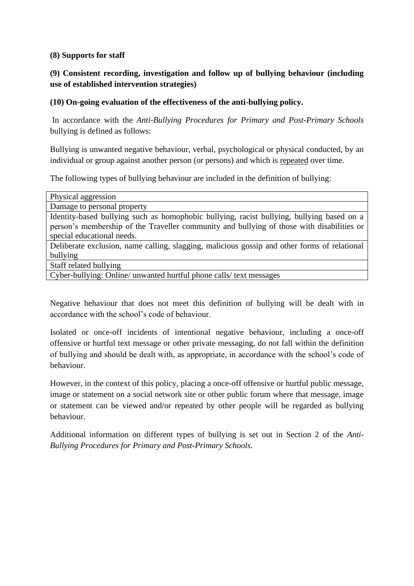#### **(8) Supports for staff**

# **(9) Consistent recording, investigation and follow up of bullying behaviour (including use of established intervention strategies)**

### **(10) On-going evaluation of the effectiveness of the anti-bullying policy.**

In accordance with the *Anti-Bullying Procedures for Primary and Post-Primary Schools* bullying is defined as follows:

Bullying is unwanted negative behaviour, verbal, psychological or physical conducted, by an individual or group against another person (or persons) and which is repeated over time.

The following types of bullying behaviour are included in the definition of bullying:

| Physical aggression                                                                          |
|----------------------------------------------------------------------------------------------|
| Damage to personal property                                                                  |
| Identity-based bullying such as homophobic bullying, racist bullying, bullying based on a    |
| person's membership of the Traveller community and bullying of those with disabilities or    |
| special educational needs.                                                                   |
| Deliberate exclusion, name calling, slagging, malicious gossip and other forms of relational |
| bullying                                                                                     |
| Staff related bullying                                                                       |
| Cyber-bullying: Online/ unwanted hurtful phone calls/ text messages                          |

Negative behaviour that does not meet this definition of bullying will be dealt with in accordance with the school's code of behaviour.

Isolated or once-off incidents of intentional negative behaviour, including a once-off offensive or hurtful text message or other private messaging, do not fall within the definition of bullying and should be dealt with, as appropriate, in accordance with the school's code of behaviour.

However, in the context of this policy, placing a once-off offensive or hurtful public message, image or statement on a social network site or other public forum where that message, image or statement can be viewed and/or repeated by other people will be regarded as bullying behaviour.

Additional information on different types of bullying is set out in Section 2 of the *Anti-Bullying Procedures for Primary and Post-Primary Schools.*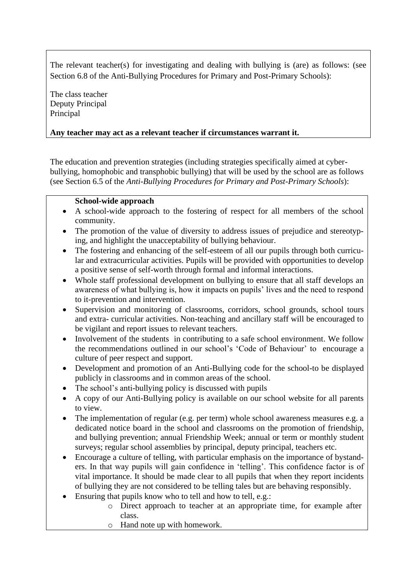The relevant teacher(s) for investigating and dealing with bullying is (are) as follows: (see Section 6.8 of the Anti-Bullying Procedures for Primary and Post-Primary Schools):

The class teacher Deputy Principal Principal

### **Any teacher may act as a relevant teacher if circumstances warrant it.**

The education and prevention strategies (including strategies specifically aimed at cyberbullying, homophobic and transphobic bullying) that will be used by the school are as follows (see Section 6.5 of the *Anti-Bullying Procedures for Primary and Post-Primary Schools*):

### **School-wide approach**

- A school-wide approach to the fostering of respect for all members of the school community.
- The promotion of the value of diversity to address issues of prejudice and stereotyping, and highlight the unacceptability of bullying behaviour.
- The fostering and enhancing of the self-esteem of all our pupils through both curricular and extracurricular activities. Pupils will be provided with opportunities to develop a positive sense of self-worth through formal and informal interactions.
- Whole staff professional development on bullying to ensure that all staff develops an awareness of what bullying is, how it impacts on pupils' lives and the need to respond to it-prevention and intervention.
- Supervision and monitoring of classrooms, corridors, school grounds, school tours and extra- curricular activities. Non-teaching and ancillary staff will be encouraged to be vigilant and report issues to relevant teachers.
- Involvement of the students in contributing to a safe school environment. We follow the recommendations outlined in our school's 'Code of Behaviour' to encourage a culture of peer respect and support.
- Development and promotion of an Anti-Bullying code for the school-to be displayed publicly in classrooms and in common areas of the school.
- The school's anti-bullying policy is discussed with pupils
- A copy of our Anti-Bullying policy is available on our school website for all parents to view.
- The implementation of regular (e.g. per term) whole school awareness measures e.g. a dedicated notice board in the school and classrooms on the promotion of friendship, and bullying prevention; annual Friendship Week; annual or term or monthly student surveys; regular school assemblies by principal, deputy principal, teachers etc.
- Encourage a culture of telling, with particular emphasis on the importance of bystanders. In that way pupils will gain confidence in 'telling'. This confidence factor is of vital importance. It should be made clear to all pupils that when they report incidents of bullying they are not considered to be telling tales but are behaving responsibly.
- Ensuring that pupils know who to tell and how to tell, e.g.:
	- o Direct approach to teacher at an appropriate time, for example after class.
	- o Hand note up with homework.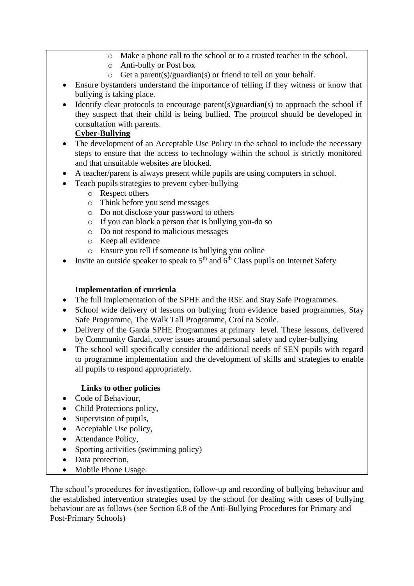- o Make a phone call to the school or to a trusted teacher in the school.
- o Anti-bully or Post box
- o Get a parent(s)/guardian(s) or friend to tell on your behalf.
- Ensure bystanders understand the importance of telling if they witness or know that bullying is taking place.
- Identify clear protocols to encourage parent(s)/guardian(s) to approach the school if they suspect that their child is being bullied. The protocol should be developed in consultation with parents.

### **Cyber-Bullying**

- The development of an Acceptable Use Policy in the school to include the necessary steps to ensure that the access to technology within the school is strictly monitored and that unsuitable websites are blocked.
- A teacher/parent is always present while pupils are using computers in school.
- Teach pupils strategies to prevent cyber-bullying
	- o Respect others
	- o Think before you send messages
	- o Do not disclose your password to others
	- o If you can block a person that is bullying you-do so
	- o Do not respond to malicious messages
	- o Keep all evidence
	- o Ensure you tell if someone is bullying you online
- Invite an outside speaker to speak to  $5<sup>th</sup>$  and  $6<sup>th</sup>$  Class pupils on Internet Safety

### **Implementation of curricula**

- The full implementation of the SPHE and the RSE and Stay Safe Programmes.
- School wide delivery of lessons on bullying from evidence based programmes, Stay Safe Programme, The Walk Tall Programme, Croí na Scoile.
- Delivery of the Garda SPHE Programmes at primary level. These lessons, delivered by Community Gardai, cover issues around personal safety and cyber-bullying
- The school will specifically consider the additional needs of SEN pupils with regard to programme implementation and the development of skills and strategies to enable all pupils to respond appropriately.

### **Links to other policies**

- Code of Behaviour,
- Child Protections policy,
- Supervision of pupils,
- Acceptable Use policy,
- Attendance Policy,
- Sporting activities (swimming policy)
- Data protection,
- Mobile Phone Usage.

The school's procedures for investigation, follow-up and recording of bullying behaviour and the established intervention strategies used by the school for dealing with cases of bullying behaviour are as follows (see Section 6.8 of the Anti-Bullying Procedures for Primary and Post-Primary Schools)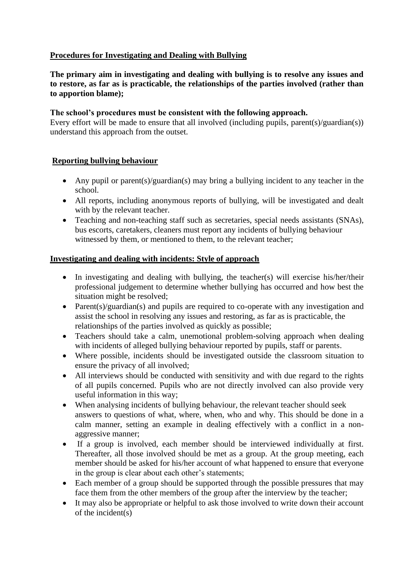### **Procedures for Investigating and Dealing with Bullying**

### **The primary aim in investigating and dealing with bullying is to resolve any issues and to restore, as far as is practicable, the relationships of the parties involved (rather than to apportion blame);**

#### **The school's procedures must be consistent with the following approach.**

Every effort will be made to ensure that all involved (including pupils, parent(s)/guardian(s)) understand this approach from the outset.

### **Reporting bullying behaviour**

- Any pupil or parent(s)/guardian(s) may bring a bullying incident to any teacher in the school.
- All reports, including anonymous reports of bullying, will be investigated and dealt with by the relevant teacher.
- Teaching and non-teaching staff such as secretaries, special needs assistants (SNAs), bus escorts, caretakers, cleaners must report any incidents of bullying behaviour witnessed by them, or mentioned to them, to the relevant teacher;

#### **Investigating and dealing with incidents: Style of approach**

- In investigating and dealing with bullying, the teacher(s) will exercise his/her/their professional judgement to determine whether bullying has occurred and how best the situation might be resolved;
- Parent(s)/guardian(s) and pupils are required to co-operate with any investigation and assist the school in resolving any issues and restoring, as far as is practicable, the relationships of the parties involved as quickly as possible;
- Teachers should take a calm, unemotional problem-solving approach when dealing with incidents of alleged bullying behaviour reported by pupils, staff or parents.
- Where possible, incidents should be investigated outside the classroom situation to ensure the privacy of all involved;
- All interviews should be conducted with sensitivity and with due regard to the rights of all pupils concerned. Pupils who are not directly involved can also provide very useful information in this way;
- When analysing incidents of bullying behaviour, the relevant teacher should seek answers to questions of what, where, when, who and why. This should be done in a calm manner, setting an example in dealing effectively with a conflict in a nonaggressive manner;
- If a group is involved, each member should be interviewed individually at first. Thereafter, all those involved should be met as a group. At the group meeting, each member should be asked for his/her account of what happened to ensure that everyone in the group is clear about each other's statements;
- Each member of a group should be supported through the possible pressures that may face them from the other members of the group after the interview by the teacher;
- It may also be appropriate or helpful to ask those involved to write down their account of the incident(s)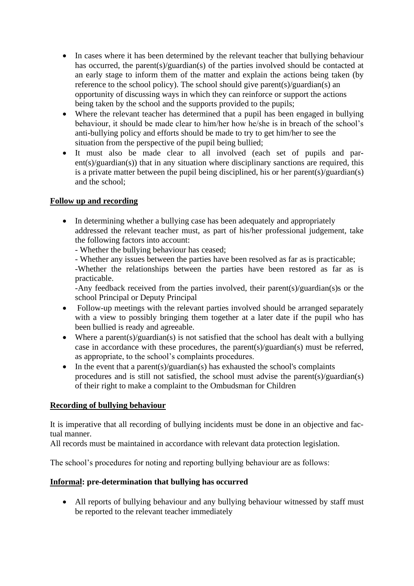- In cases where it has been determined by the relevant teacher that bullying behaviour has occurred, the parent(s)/guardian(s) of the parties involved should be contacted at an early stage to inform them of the matter and explain the actions being taken (by reference to the school policy). The school should give parent(s)/guardian(s) an opportunity of discussing ways in which they can reinforce or support the actions being taken by the school and the supports provided to the pupils;
- Where the relevant teacher has determined that a pupil has been engaged in bullying behaviour, it should be made clear to him/her how he/she is in breach of the school's anti-bullying policy and efforts should be made to try to get him/her to see the situation from the perspective of the pupil being bullied;
- It must also be made clear to all involved (each set of pupils and parent(s)/guardian(s)) that in any situation where disciplinary sanctions are required, this is a private matter between the pupil being disciplined, his or her parent(s)/guardian(s) and the school;

### **Follow up and recording**

- In determining whether a bullying case has been adequately and appropriately addressed the relevant teacher must, as part of his/her professional judgement, take the following factors into account:
	- Whether the bullying behaviour has ceased;
	- Whether any issues between the parties have been resolved as far as is practicable;
	- -Whether the relationships between the parties have been restored as far as is practicable.

-Any feedback received from the parties involved, their parent(s)/guardian(s)s or the school Principal or Deputy Principal

- Follow-up meetings with the relevant parties involved should be arranged separately with a view to possibly bringing them together at a later date if the pupil who has been bullied is ready and agreeable.
- Where a parent(s)/guardian(s) is not satisfied that the school has dealt with a bullying case in accordance with these procedures, the parent(s)/guardian(s) must be referred, as appropriate, to the school's complaints procedures.
- In the event that a parent(s)/guardian(s) has exhausted the school's complaints procedures and is still not satisfied, the school must advise the parent(s)/guardian(s) of their right to make a complaint to the Ombudsman for Children

### **Recording of bullying behaviour**

It is imperative that all recording of bullying incidents must be done in an objective and factual manner.

All records must be maintained in accordance with relevant data protection legislation.

The school's procedures for noting and reporting bullying behaviour are as follows:

### **Informal: pre-determination that bullying has occurred**

• All reports of bullying behaviour and any bullying behaviour witnessed by staff must be reported to the relevant teacher immediately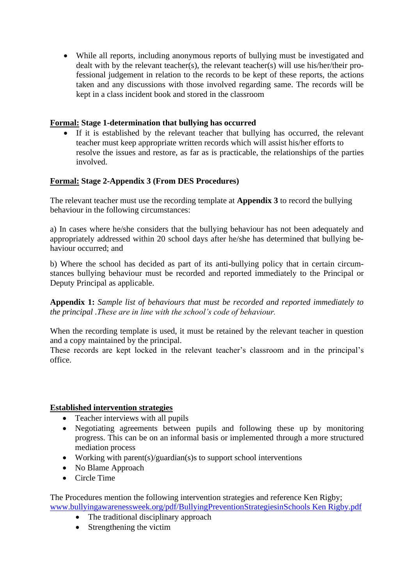• While all reports, including anonymous reports of bullying must be investigated and dealt with by the relevant teacher(s), the relevant teacher(s) will use his/her/their professional judgement in relation to the records to be kept of these reports, the actions taken and any discussions with those involved regarding same. The records will be kept in a class incident book and stored in the classroom

### **Formal: Stage 1-determination that bullying has occurred**

If it is established by the relevant teacher that bullying has occurred, the relevant teacher must keep appropriate written records which will assist his/her efforts to resolve the issues and restore, as far as is practicable, the relationships of the parties involved.

### **Formal: Stage 2-Appendix 3 (From DES Procedures)**

The relevant teacher must use the recording template at **Appendix 3** to record the bullying behaviour in the following circumstances:

a) In cases where he/she considers that the bullying behaviour has not been adequately and appropriately addressed within 20 school days after he/she has determined that bullying behaviour occurred; and

b) Where the school has decided as part of its anti-bullying policy that in certain circumstances bullying behaviour must be recorded and reported immediately to the Principal or Deputy Principal as applicable.

**Appendix 1:** *Sample list of behaviours that must be recorded and reported immediately to the principal .These are in line with the school's code of behaviour.*

When the recording template is used, it must be retained by the relevant teacher in question and a copy maintained by the principal.

These records are kept locked in the relevant teacher's classroom and in the principal's office.

#### **Established intervention strategies**

- Teacher interviews with all pupils
- Negotiating agreements between pupils and following these up by monitoring progress. This can be on an informal basis or implemented through a more structured mediation process
- Working with parent(s)/guardian(s) s to support school interventions
- No Blame Approach
- Circle Time

The Procedures mention the following intervention strategies and reference Ken Rigby; [www.bullyingawarenessweek.org/pdf/BullyingPreventionStrategiesinSchools Ken Rigby.pdf](http://www.bullyingawarenessweek.org/pdf/BullyingPreventionStrategiesinSchools%20Ken%20Rigby.pdf)

- The traditional disciplinary approach
- Strengthening the victim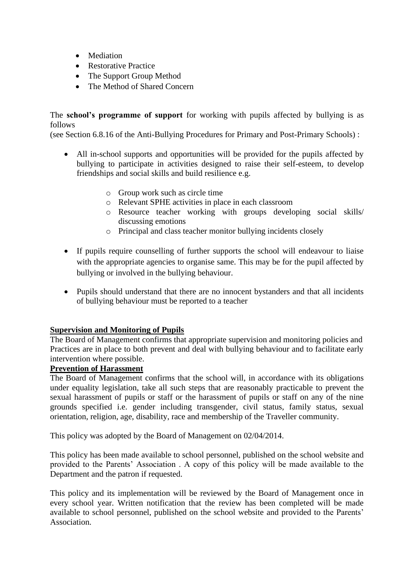- Mediation
- Restorative Practice
- The Support Group Method
- The Method of Shared Concern

The **school's programme of support** for working with pupils affected by bullying is as follows

(see Section 6.8.16 of the Anti-Bullying Procedures for Primary and Post-Primary Schools) :

- All in-school supports and opportunities will be provided for the pupils affected by bullying to participate in activities designed to raise their self-esteem, to develop friendships and social skills and build resilience e.g.
	- o Group work such as circle time
	- o Relevant SPHE activities in place in each classroom
	- o Resource teacher working with groups developing social skills/ discussing emotions
	- o Principal and class teacher monitor bullying incidents closely
- If pupils require counselling of further supports the school will endeavour to liaise with the appropriate agencies to organise same. This may be for the pupil affected by bullying or involved in the bullying behaviour.
- Pupils should understand that there are no innocent bystanders and that all incidents of bullying behaviour must be reported to a teacher

### **Supervision and Monitoring of Pupils**

The Board of Management confirms that appropriate supervision and monitoring policies and Practices are in place to both prevent and deal with bullying behaviour and to facilitate early intervention where possible.

#### **Prevention of Harassment**

The Board of Management confirms that the school will, in accordance with its obligations under equality legislation, take all such steps that are reasonably practicable to prevent the sexual harassment of pupils or staff or the harassment of pupils or staff on any of the nine grounds specified i.e. gender including transgender, civil status, family status, sexual orientation, religion, age, disability, race and membership of the Traveller community.

This policy was adopted by the Board of Management on 02/04/2014.

This policy has been made available to school personnel, published on the school website and provided to the Parents' Association . A copy of this policy will be made available to the Department and the patron if requested.

This policy and its implementation will be reviewed by the Board of Management once in every school year. Written notification that the review has been completed will be made available to school personnel, published on the school website and provided to the Parents' Association.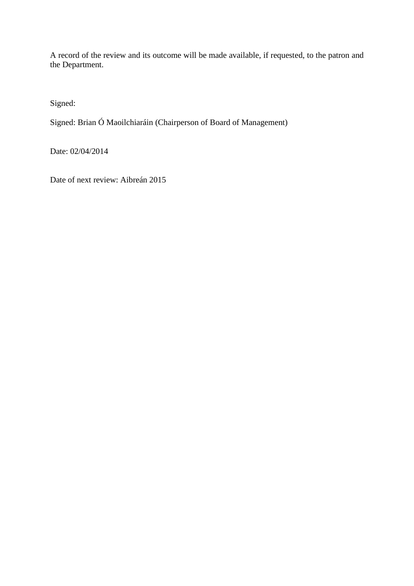A record of the review and its outcome will be made available, if requested, to the patron and the Department.

Signed:

Signed: Brian Ó Maoilchiaráin (Chairperson of Board of Management)

Date: 02/04/2014

Date of next review: Aibreán 2015